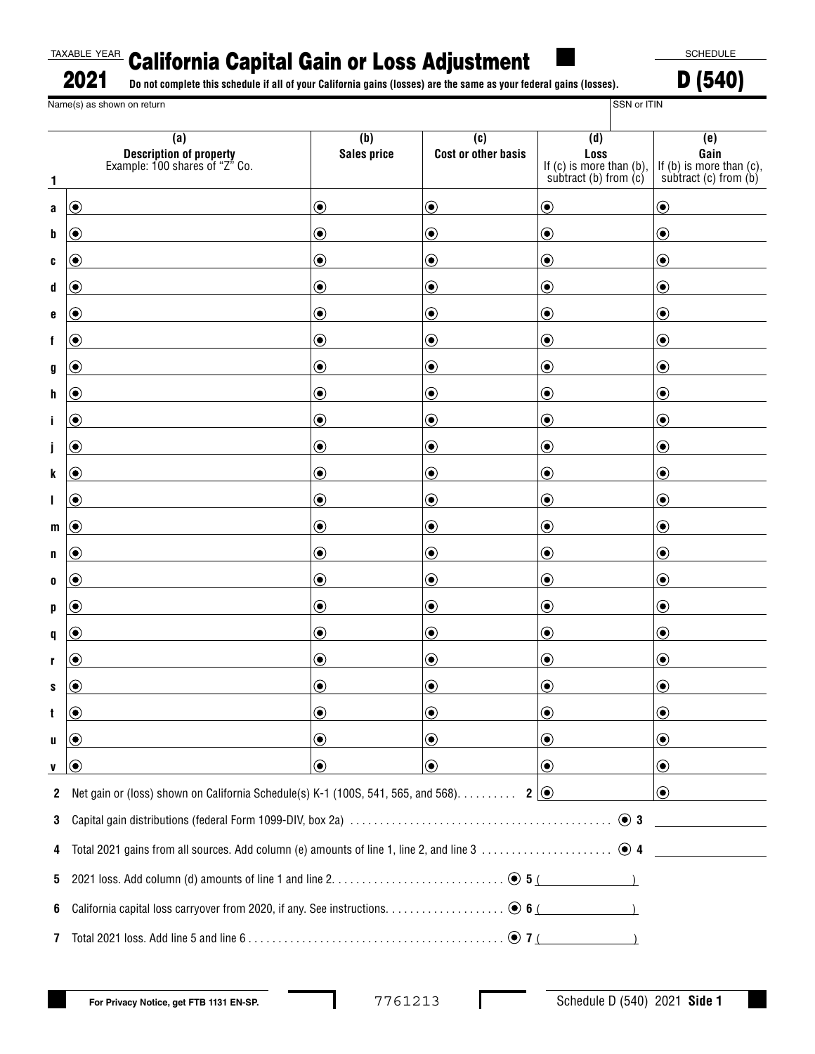## California Capital Gain or Loss Adjustment TAXABLE YEAR

SCHEDULE

**Do not complete this schedule if all of your California gains (losses) are the same as your federal gains (losses).** 2021

D (540) Name(s) as shown on return SSN or ITIN

| 1  | (a)<br><b>Description of property</b><br>Example: 100 shares of "Z" Co.                            | (b)<br><b>Sales price</b>           | (c)<br><b>Cost or other basis</b> | (d)<br>Loss<br>If $(c)$ is more than $(b)$ ,<br>subtract (b) from $(c)$ | (e)<br>Gain<br>If $(b)$ is more than $(c)$ ,<br>subtract (c) from $(b)$ |
|----|----------------------------------------------------------------------------------------------------|-------------------------------------|-----------------------------------|-------------------------------------------------------------------------|-------------------------------------------------------------------------|
| a  | $\boldsymbol{\odot}$                                                                               | $\textcolor{blue}{\bullet}$         | $\bigcirc$                        | $\odot$                                                                 | $\odot$                                                                 |
| b  | ◉                                                                                                  | $\textcircled{\small{\textbullet}}$ | $\textcolor{blue}{\bullet}$       | $\textcircled{\small\bullet}$                                           | $\textcolor{blue}{\bullet}$                                             |
| C  | ۰                                                                                                  | $\textcolor{blue}{\bullet}$         | $\textcolor{blue}{\bullet}$       | $\textcircled{\small{\bullet}}$                                         | $\textcolor{blue}{\bullet}$                                             |
| d  | $\boldsymbol{\odot}$                                                                               | $\textcolor{blue}{\bullet}$         | $\textcolor{blue}{\bullet}$       | $\bigcirc$                                                              | $\textcolor{blue}{\bullet}$                                             |
| e  | $\textcolor{blue}{\bullet}$                                                                        | $\textcircled{\small{\textbullet}}$ | $\textcolor{blue}{\bullet}$       | $\textcircled{\small{\textbullet}}$                                     | $\textcolor{blue}{\bullet}$                                             |
| f  | $\boldsymbol{\odot}$                                                                               | $\textcolor{blue}{\bullet}$         | $\textcolor{blue}{\bullet}$       | $\textcircled{\small{\bullet}}$                                         | $\textcolor{blue}{\bullet}$                                             |
| g  | ◉                                                                                                  | $\textcolor{blue}{\bullet}$         | $\textcolor{blue}{\bullet}$       | $\odot$                                                                 | $\textcircled{\small\bullet}$                                           |
| h  | $\textcolor{blue}{\bullet}$                                                                        | $\textcircled{\small{\textbullet}}$ | $\textcolor{blue}{\bullet}$       | $\textcircled{\small{\textbullet}}$                                     | $\textcolor{blue}{\bullet}$                                             |
| j. | $\boldsymbol{\odot}$                                                                               | $\textcolor{blue}{\bullet}$         | $\textcolor{blue}{\bullet}$       | $\textcircled{\small{\bullet}}$                                         | $\textcolor{blue}{\bullet}$                                             |
| Ĵ  | $\boldsymbol{\odot}$                                                                               | $\textcolor{blue}{\bullet}$         | $\textcolor{blue}{\bullet}$       | $\bigcirc$                                                              | $\bigcirc$                                                              |
| k  | $\textcolor{blue}{\bullet}$                                                                        | $\textcircled{\small{\textbullet}}$ | $\textcolor{blue}{\bullet}$       | $\textcircled{\small{\textbullet}}$                                     | $\textcolor{blue}{\bullet}$                                             |
| L  | $\textcolor{blue}{\bullet}$                                                                        | $\textcolor{blue}{\bullet}$         | $\textcolor{blue}{\bullet}$       | $\textcircled{\small{\bullet}}$                                         | $\textcolor{blue}{\bullet}$                                             |
| m  | $\boldsymbol{\odot}$                                                                               | $\textcolor{blue}{\bullet}$         | $\textcolor{blue}{\bullet}$       | $\bigcirc$                                                              | $\textcircled{\small\bullet}$                                           |
| n  | $\boldsymbol{\odot}$                                                                               | $\textcircled{\small{\textbullet}}$ | $\textcolor{blue}{\bullet}$       | $\textcolor{blue}{\bullet}$                                             | $\textcolor{blue}{\bullet}$                                             |
| 0  | ۰                                                                                                  | $\textcolor{blue}{\bullet}$         | $\textcolor{blue}{\bullet}$       | $\textcircled{\small{\bullet}}$                                         | $\textcolor{blue}{\bullet}$                                             |
| p  | ◉                                                                                                  | $\textcolor{blue}{\bullet}$         | $\textcolor{blue}{\bullet}$       | $\bigcirc$                                                              | $\textcolor{blue}{\bullet}$                                             |
| q  | $\boldsymbol{\odot}$                                                                               | $\textcircled{\small{\textbullet}}$ | $\textcolor{blue}{\bullet}$       | $\textcircled{\small\bullet}$                                           | $\textcolor{blue}{\bullet}$                                             |
| r  | ۰                                                                                                  | $\bf{O}$                            | $\textcolor{blue}{\bullet}$       | $\textcolor{blue}{\bullet}$                                             | $\textcolor{blue}{\bullet}$                                             |
| s  | $(\bullet)$                                                                                        | $\textcolor{blue}{\bullet}$         | $\textcolor{blue}{\bullet}$       | $\bigcirc$                                                              | $\textcolor{blue}{\bullet}$                                             |
| t  | ◉                                                                                                  | $\bf{(\bullet)}$                    | $\bf{(\bullet)}$                  | $\odot$                                                                 | $\circledbullet$                                                        |
| u  | $\boldsymbol{\odot}$                                                                               | $\boldsymbol{\copyright}$           | $\odot$                           | $\odot$                                                                 | $\odot$                                                                 |
| V  | 0)                                                                                                 | $\bf \odot$                         | $\odot$                           | $\odot$                                                                 | $\odot$                                                                 |
| 2  | Net gain or (loss) shown on California Schedule(s) K-1 (100S, 541, 565, and 568). 2 $\circledcirc$ |                                     |                                   |                                                                         | $\odot$                                                                 |
| 3  |                                                                                                    |                                     |                                   |                                                                         |                                                                         |
| 4  |                                                                                                    |                                     |                                   |                                                                         |                                                                         |
| 5  |                                                                                                    |                                     |                                   |                                                                         |                                                                         |
| 6  |                                                                                                    |                                     |                                   |                                                                         |                                                                         |
| 7  |                                                                                                    |                                     |                                   |                                                                         |                                                                         |